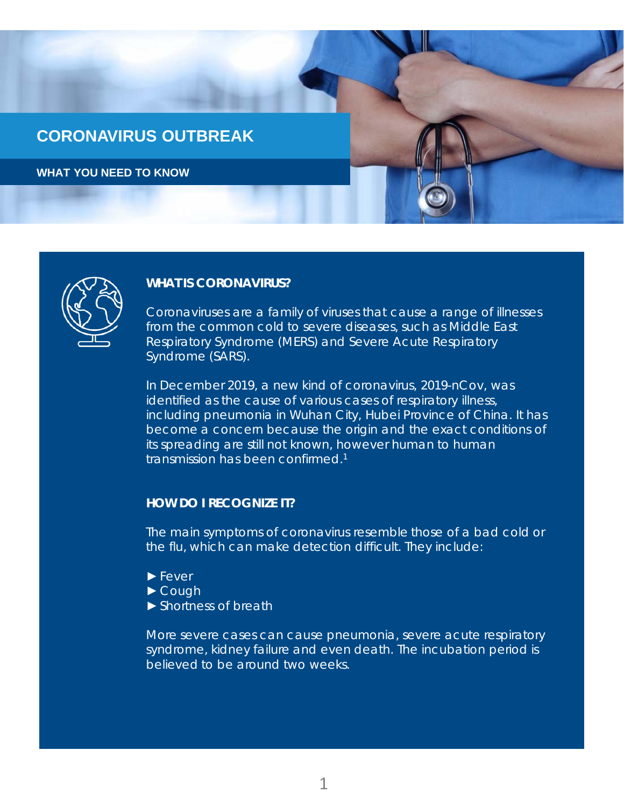



#### **WHAT IS CORONAVIRUS?**

Coronaviruses are a family of viruses that cause a range of illnesses from the common cold to severe diseases, such as Middle East Respiratory Syndrome (MERS) and Severe Acute Respiratory Syndrome (SARS).

In December 2019, a new kind of coronavirus, 2019-nCov, was identified as the cause of various cases of respiratory illness, including pneumonia in Wuhan City, Hubei Province of China. It has become a concern because the origin and the exact conditions of its spreading are still not known, however human to human transmission has been confirmed.1

### **HOW DO I RECOGNIZE IT?**

The main symptoms of coronavirus resemble those of a bad cold or the flu, which can make detection difficult. They include:

- ►Fever
- ►Cough
- ►Shortness of breath

More severe cases can cause pneumonia, severe acute respiratory syndrome, kidney failure and even death. The incubation period is believed to be around two weeks.